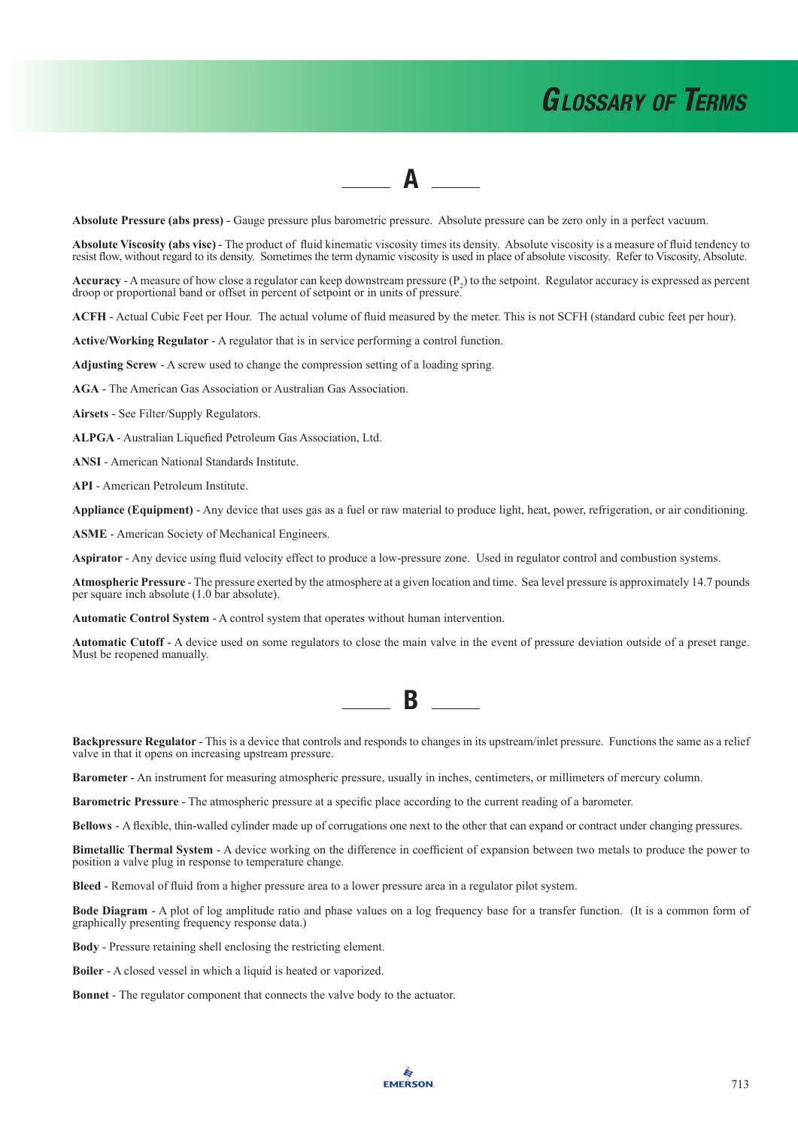### $\blacksquare$

**Absolute Pressure (abs press)** - Gauge pressure plus barometric pressure. Absolute pressure can be zero only in a perfect vacuum.

**Absolute Viscosity (abs visc)** - The product of fluid kinematic viscosity times its density. Absolute viscosity is a measure of fluid tendency to resist flow, without regard to its density. Sometimes the term dynamic viscosity is used in place of absolute viscosity. Refer to Viscosity, Absolute.

**Accuracy** - A measure of how close a regulator can keep downstream pressure  $(P_2)$  to the setpoint. Regulator accuracy is expressed as percent droop or proportional band or offset in percent of setpoint or in units of pressure.

**ACFH** - Actual Cubic Feet per Hour. The actual volume of fluid measured by the meter. This is not SCFH (standard cubic feet per hour).

**Active/Working Regulator** - A regulator that is in service performing a control function.

**Adjusting Screw** - A screw used to change the compression setting of a loading spring.

**AGA** - The American Gas Association or Australian Gas Association.

**Airsets** - See Filter/Supply Regulators.

**ALPGA** - Australian Liquefied Petroleum Gas Association, Ltd.

**ANSI** - American National Standards Institute.

**API** - American Petroleum Institute.

**Appliance (Equipment)** - Any device that uses gas as a fuel or raw material to produce light, heat, power, refrigeration, or air conditioning.

**ASME** - American Society of Mechanical Engineers.

**Aspirator** - Any device using fluid velocity effect to produce a low-pressure zone. Used in regulator control and combustion systems.

**Atmospheric Pressure** - The pressure exerted by the atmosphere at a given location and time. Sea level pressure is approximately 14.7 pounds per square inch absolute (1.0 bar absolute).

**Automatic Control System** - A control system that operates without human intervention.

**Automatic Cutoff** - A device used on some regulators to close the main valve in the event of pressure deviation outside of a preset range. Must be reopened manually.

**Backpressure Regulator -** This is a device that controls and responds to changes in its upstream/inlet pressure. Functions the same as a relief valve in that it opens on increasing upstream pressure.

**Barometer** - An instrument for measuring atmospheric pressure, usually in inches, centimeters, or millimeters of mercury column.

**Barometric Pressure** - The atmospheric pressure at a specific place according to the current reading of a barometer.

**Bellows** - A flexible, thin-walled cylinder made up of corrugations one next to the other that can expand or contract under changing pressures.

**Bimetallic Thermal System** - A device working on the difference in coefficient of expansion between two metals to produce the power to position a valve plug in response to temperature change.

**Bleed** - Removal of fluid from a higher pressure area to a lower pressure area in a regulator pilot system.

**Bode Diagram** - A plot of log amplitude ratio and phase values on a log frequency base for a transfer function. (It is a common form of graphically presenting frequency response data.)

**Body** - Pressure retaining shell enclosing the restricting element.

**Boiler** - A closed vessel in which a liquid is heated or vaporized.

**Bonnet** - The regulator component that connects the valve body to the actuator.

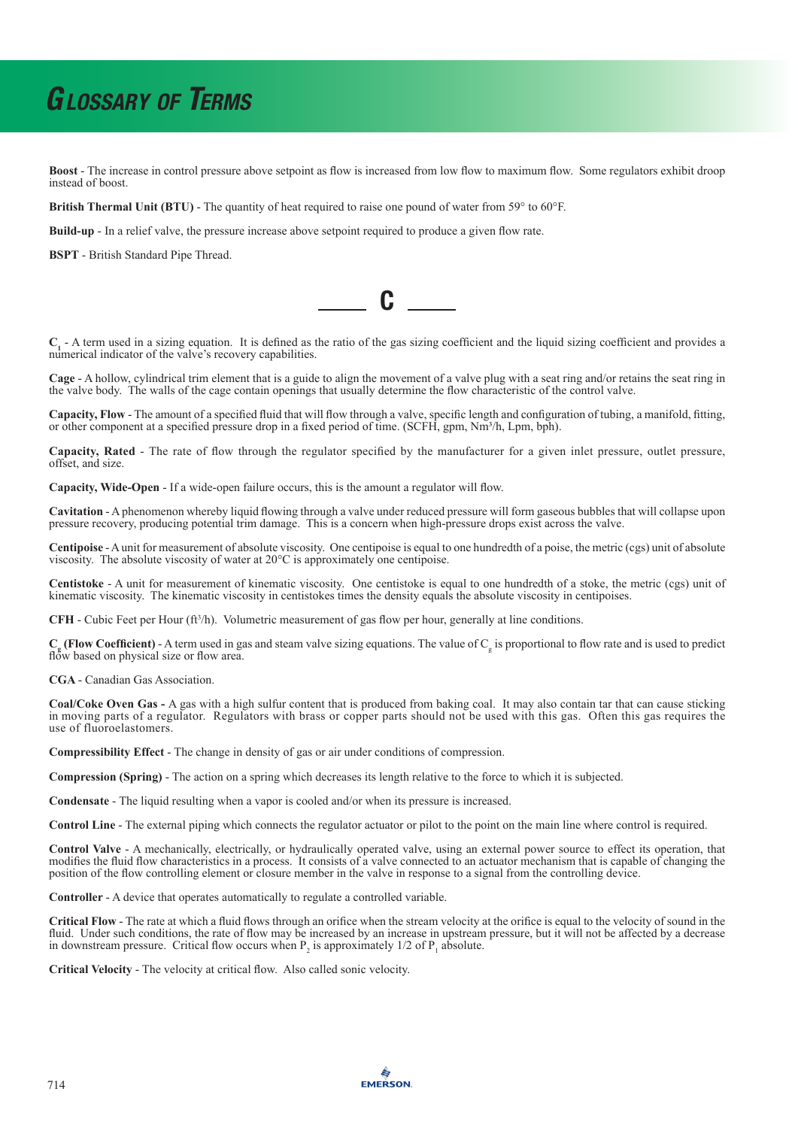**Boost** - The increase in control pressure above setpoint as flow is increased from low flow to maximum flow. Some regulators exhibit droop instead of boost.

**British Thermal Unit (BTU)** - The quantity of heat required to raise one pound of water from 59° to 60°F.

**Build-up** - In a relief valve, the pressure increase above setpoint required to produce a given flow rate.

**BSPT** - British Standard Pipe Thread.

C

**C1** - A term used in a sizing equation. It is defined as the ratio of the gas sizing coefficient and the liquid sizing coefficient and provides a numerical indicator of the valve's recovery capabilities.

**Cage** - A hollow, cylindrical trim element that is a guide to align the movement of a valve plug with a seat ring and/or retains the seat ring in the valve body. The walls of the cage contain openings that usually determine the flow characteristic of the control valve.

**Capacity, Flow** - The amount of a specified fluid that will flow through a valve, specific length and configuration of tubing, a manifold, fitting, or other component at a specified pressure drop in a fixed period of time. (SCFH, gpm, Nm<sup>3</sup>/h, Lpm, bph).

**Capacity, Rated** - The rate of flow through the regulator specified by the manufacturer for a given inlet pressure, outlet pressure, offset, and size.

**Capacity, Wide-Open** - If a wide-open failure occurs, this is the amount a regulator will flow.

**Cavitation** - A phenomenon whereby liquid flowing through a valve under reduced pressure will form gaseous bubbles that will collapse upon pressure recovery, producing potential trim damage. This is a concern when high-pressure drops exist across the valve.

**Centipoise** - A unit for measurement of absolute viscosity. One centipoise is equal to one hundredth of a poise, the metric (cgs) unit of absolute viscosity. The absolute viscosity of water at 20°C is approximately one centipoise.

**Centistoke** - A unit for measurement of kinematic viscosity. One centistoke is equal to one hundredth of a stoke, the metric (cgs) unit of kinematic viscosity. The kinematic viscosity in centistokes times the density equals the absolute viscosity in centipoises.

**CFH** - Cubic Feet per Hour  $(f<sup>3</sup>/h)$ . Volumetric measurement of gas flow per hour, generally at line conditions.

 $C_g$  (Flow Coefficient) - A term used in gas and steam valve sizing equations. The value of  $C_g$  is proportional to flow rate and is used to predict flow based on physical size or flow area.

**CGA** - Canadian Gas Association.

**Coal/Coke Oven Gas -** A gas with a high sulfur content that is produced from baking coal. It may also contain tar that can cause sticking in moving parts of a regulator. Regulators with brass or copper parts should not be used with this gas. Often this gas requires the use of fluoroelastomers.

**Compressibility Effect** - The change in density of gas or air under conditions of compression.

**Compression (Spring)** - The action on a spring which decreases its length relative to the force to which it is subjected.

**Condensate** - The liquid resulting when a vapor is cooled and/or when its pressure is increased.

**Control Line** - The external piping which connects the regulator actuator or pilot to the point on the main line where control is required.

**Control Valve** - A mechanically, electrically, or hydraulically operated valve, using an external power source to effect its operation, that modifies the fluid flow characteristics in a process. It consists of a valve connected to an actuator mechanism that is capable of changing the position of the flow controlling element or closure member in the valve in response to a signal from the controlling device.

**Controller** - A device that operates automatically to regulate a controlled variable.

**Critical Flow** - The rate at which a fluid flows through an orifice when the stream velocity at the orifice is equal to the velocity of sound in the fluid. Under such conditions, the rate of flow may be increased by an increase in upstream pressure, but it will not be affected by a decrease in downstream pressure. Critical flow occurs when  $P_2$  is approximately 1/2 of  $P_1$  absolute.

**Critical Velocity** - The velocity at critical flow. Also called sonic velocity.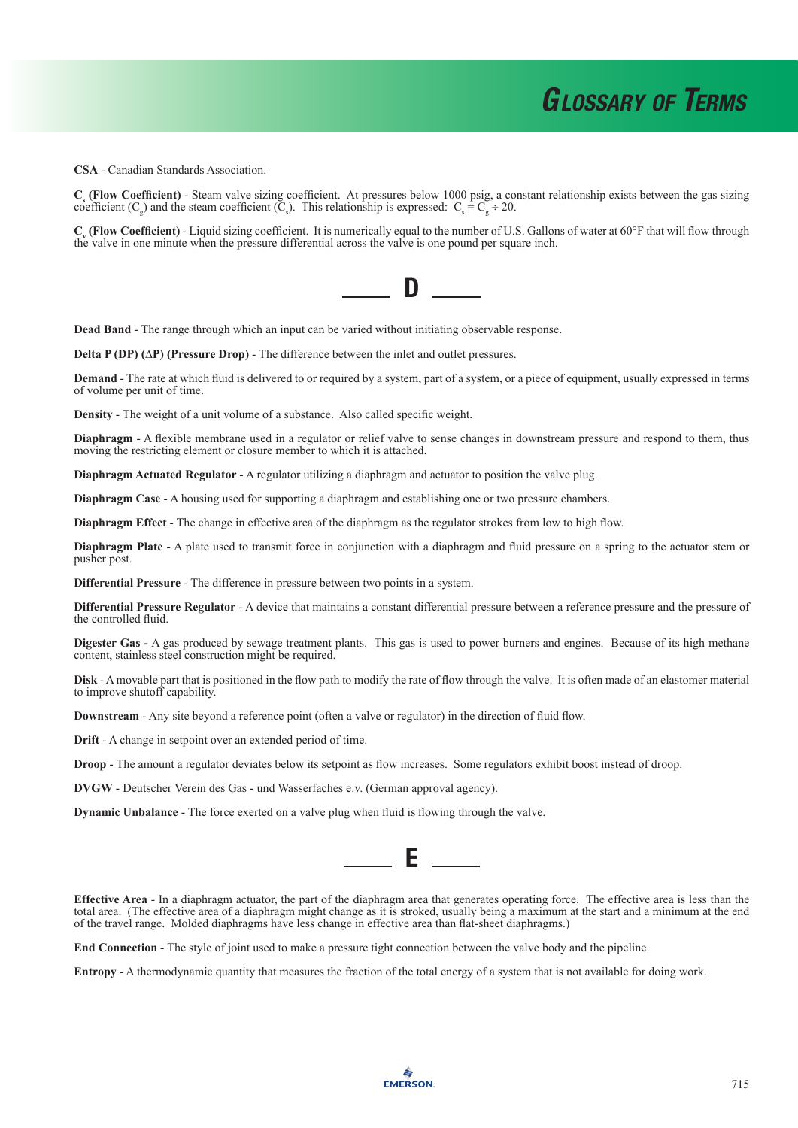**CSA** - Canadian Standards Association.

**Cs (Flow Coefficient)** - Steam valve sizing coefficient. At pressures below 1000 psig, a constant relationship exists between the gas sizing coefficient (C<sub>g</sub>) and the steam coefficient (C<sub>s</sub>). This relationship is expressed: C<sub>s</sub> = C<sub>g</sub> ÷ 20.

 $C_v$  **(Flow Coefficient)** - Liquid sizing coefficient. It is numerically equal to the number of U.S. Gallons of water at 60°F that will flow through the valve in one minute when the pressure differential across the valve is one pound per square inch.



**Dead Band** - The range through which an input can be varied without initiating observable response.

**Delta P (DP) (**∆**P) (Pressure Drop)** - The difference between the inlet and outlet pressures.

**Demand** - The rate at which fluid is delivered to or required by a system, part of a system, or a piece of equipment, usually expressed in terms of volume per unit of time.

**Density** - The weight of a unit volume of a substance. Also called specific weight.

**Diaphragm** - A flexible membrane used in a regulator or relief valve to sense changes in downstream pressure and respond to them, thus moving the restricting element or closure member to which it is attached.

**Diaphragm Actuated Regulator** - A regulator utilizing a diaphragm and actuator to position the valve plug.

**Diaphragm Case** - A housing used for supporting a diaphragm and establishing one or two pressure chambers.

**Diaphragm Effect** - The change in effective area of the diaphragm as the regulator strokes from low to high flow.

**Diaphragm Plate** - A plate used to transmit force in conjunction with a diaphragm and fluid pressure on a spring to the actuator stem or pusher post.

**Differential Pressure** - The difference in pressure between two points in a system.

**Differential Pressure Regulator** - A device that maintains a constant differential pressure between a reference pressure and the pressure of the controlled fluid.

**Digester Gas -** A gas produced by sewage treatment plants. This gas is used to power burners and engines. Because of its high methane content, stainless steel construction might be required.

**Disk** - A movable part that is positioned in the flow path to modify the rate of flow through the valve. It is often made of an elastomer material to improve shutoff capability.

**Downstream** - Any site beyond a reference point (often a valve or regulator) in the direction of fluid flow.

**Drift** - A change in setpoint over an extended period of time.

**Droop** - The amount a regulator deviates below its setpoint as flow increases. Some regulators exhibit boost instead of droop.

**DVGW** - Deutscher Verein des Gas - und Wasserfaches e.v. (German approval agency).

**Dynamic Unbalance** - The force exerted on a valve plug when fluid is flowing through the valve.



**Effective Area** - In a diaphragm actuator, the part of the diaphragm area that generates operating force. The effective area is less than the total area. (The effective area of a diaphragm might change as it is stroked, usually being a maximum at the start and a minimum at the end of the travel range. Molded diaphragms have less change in effective area than flat-sheet diaphragms.)

**End Connection** - The style of joint used to make a pressure tight connection between the valve body and the pipeline.

**Entropy** - A thermodynamic quantity that measures the fraction of the total energy of a system that is not available for doing work.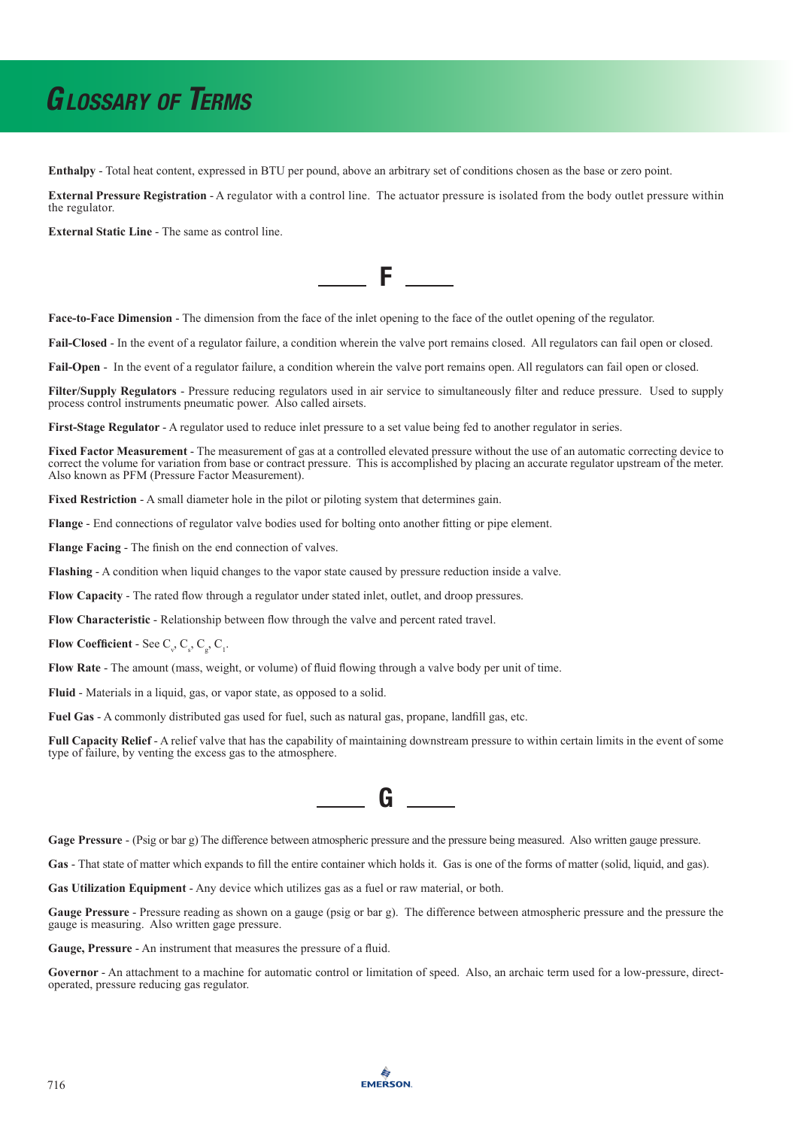**Enthalpy** - Total heat content, expressed in BTU per pound, above an arbitrary set of conditions chosen as the base or zero point.

**External Pressure Registration** - A regulator with a control line. The actuator pressure is isolated from the body outlet pressure within the regulator.

**External Static Line** - The same as control line.



**Face-to-Face Dimension** - The dimension from the face of the inlet opening to the face of the outlet opening of the regulator.

**Fail-Closed** - In the event of a regulator failure, a condition wherein the valve port remains closed. All regulators can fail open or closed.

Fail-Open - In the event of a regulator failure, a condition wherein the valve port remains open. All regulators can fail open or closed.

**Filter/Supply Regulators** - Pressure reducing regulators used in air service to simultaneously filter and reduce pressure. Used to supply process control instruments pneumatic power. Also called airsets.

**First-Stage Regulator** - A regulator used to reduce inlet pressure to a set value being fed to another regulator in series.

**Fixed Factor Measurement** - The measurement of gas at a controlled elevated pressure without the use of an automatic correcting device to correct the volume for variation from base or contract pressure. This is accomplished by placing an accurate regulator upstream of the meter. Also known as PFM (Pressure Factor Measurement).

**Fixed Restriction** - A small diameter hole in the pilot or piloting system that determines gain.

**Flange** - End connections of regulator valve bodies used for bolting onto another fitting or pipe element.

**Flange Facing** - The finish on the end connection of valves.

**Flashing** - A condition when liquid changes to the vapor state caused by pressure reduction inside a valve.

**Flow Capacity** - The rated flow through a regulator under stated inlet, outlet, and droop pressures.

**Flow Characteristic** - Relationship between flow through the valve and percent rated travel.

**Flow Coefficient** - See  $C_{v}$ ,  $C_{s}$ ,  $C_{g}$ ,  $C_{1}$ .

**Flow Rate** - The amount (mass, weight, or volume) of fluid flowing through a valve body per unit of time.

**Fluid** - Materials in a liquid, gas, or vapor state, as opposed to a solid.

**Fuel Gas** - A commonly distributed gas used for fuel, such as natural gas, propane, landfill gas, etc.

**Full Capacity Relief** - A relief valve that has the capability of maintaining downstream pressure to within certain limits in the event of some type of failure, by venting the excess gas to the atmosphere.



**Gage Pressure** - (Psig or bar g) The difference between atmospheric pressure and the pressure being measured. Also written gauge pressure.

**Gas** - That state of matter which expands to fill the entire container which holds it. Gas is one of the forms of matter (solid, liquid, and gas).

**Gas Utilization Equipment** - Any device which utilizes gas as a fuel or raw material, or both.

**Gauge Pressure** - Pressure reading as shown on a gauge (psig or bar g). The difference between atmospheric pressure and the pressure the gauge is measuring. Also written gage pressure.

**Gauge, Pressure** - An instrument that measures the pressure of a fluid.

**Governor** - An attachment to a machine for automatic control or limitation of speed. Also, an archaic term used for a low-pressure, directoperated, pressure reducing gas regulator.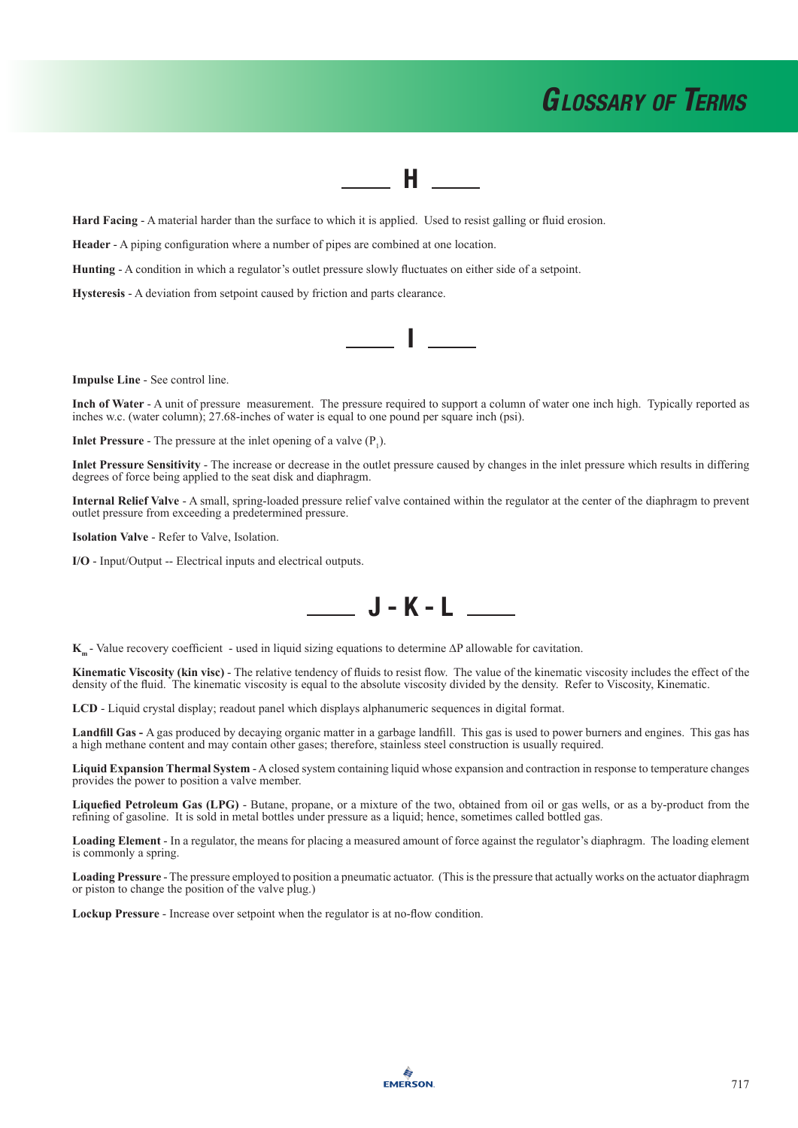#### **H** H

**Hard Facing** - A material harder than the surface to which it is applied. Used to resist galling or fluid erosion.

**Header** - A piping configuration where a number of pipes are combined at one location.

**Hunting** - A condition in which a regulator's outlet pressure slowly fluctuates on either side of a setpoint.

**Hysteresis** - A deviation from setpoint caused by friction and parts clearance.

**Impulse Line** - See control line.

**Inch of Water** - A unit of pressure measurement. The pressure required to support a column of water one inch high. Typically reported as inches w.c. (water column); 27.68-inches of water is equal to one pound per square inch (psi).

**I** I am

**Inlet Pressure** - The pressure at the inlet opening of a valve  $(P_1)$ .

**Inlet Pressure Sensitivity** - The increase or decrease in the outlet pressure caused by changes in the inlet pressure which results in differing degrees of force being applied to the seat disk and diaphragm.

**Internal Relief Valve** - A small, spring-loaded pressure relief valve contained within the regulator at the center of the diaphragm to prevent outlet pressure from exceeding a predetermined pressure.

**Isolation Valve** - Refer to Valve, Isolation.

**I/O** - Input/Output -- Electrical inputs and electrical outputs.



K<sub>m</sub> - Value recovery coefficient - used in liquid sizing equations to determine ∆P allowable for cavitation.

**Kinematic Viscosity (kin visc)** - The relative tendency of fluids to resist flow. The value of the kinematic viscosity includes the effect of the density of the fluid. The kinematic viscosity is equal to the absolute viscosity divided by the density. Refer to Viscosity, Kinematic.

**LCD** - Liquid crystal display; readout panel which displays alphanumeric sequences in digital format.

**Landfill Gas -** A gas produced by decaying organic matter in a garbage landfill. This gas is used to power burners and engines. This gas has a high methane content and may contain other gases; therefore, stainless steel construction is usually required.

**Liquid Expansion Thermal System** - A closed system containing liquid whose expansion and contraction in response to temperature changes provides the power to position a valve member.

**Liquefied Petroleum Gas (LPG)** - Butane, propane, or a mixture of the two, obtained from oil or gas wells, or as a by-product from the refining of gasoline. It is sold in metal bottles under pressure as a liquid; hence, sometimes called bottled gas.

**Loading Element** - In a regulator, the means for placing a measured amount of force against the regulator's diaphragm. The loading element is commonly a spring.

**Loading Pressure** - The pressure employed to position a pneumatic actuator. (This is the pressure that actually works on the actuator diaphragm or piston to change the position of the valve plug.)

**Lockup Pressure** - Increase over setpoint when the regulator is at no-flow condition.

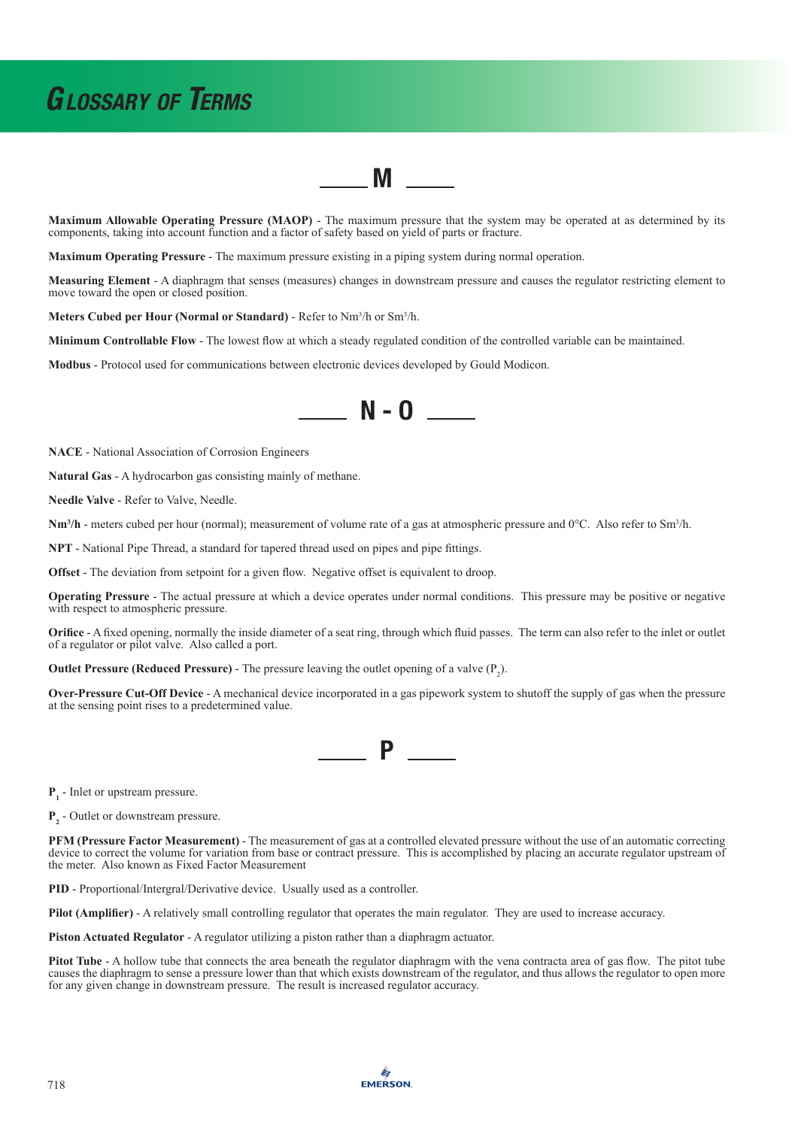**Maximum Allowable Operating Pressure (MAOP)** - The maximum pressure that the system may be operated at as determined by its components, taking into account function and a factor of safety based on yield of parts or fracture.

M

**Maximum Operating Pressure** - The maximum pressure existing in a piping system during normal operation.

**Measuring Element** - A diaphragm that senses (measures) changes in downstream pressure and causes the regulator restricting element to move toward the open or closed position.

**Meters Cubed per Hour (Normal or Standard)** - Refer to Nm<sup>3</sup> /h or Sm<sup>3</sup> /h.

**Minimum Controllable Flow** - The lowest flow at which a steady regulated condition of the controlled variable can be maintained.

**Modbus** - Protocol used for communications between electronic devices developed by Gould Modicon.



**NACE** - National Association of Corrosion Engineers

**Natural Gas** - A hydrocarbon gas consisting mainly of methane.

**Needle Valve** - Refer to Valve, Needle.

**Nm<sup>3</sup>/h** - meters cubed per hour (normal); measurement of volume rate of a gas at atmospheric pressure and 0°C. Also refer to Sm<sup>3</sup>/h.

**NPT** - National Pipe Thread, a standard for tapered thread used on pipes and pipe fittings.

**Offset** - The deviation from setpoint for a given flow. Negative offset is equivalent to droop.

**Operating Pressure** - The actual pressure at which a device operates under normal conditions. This pressure may be positive or negative with respect to atmospheric pressure.

**Orifice** - A fixed opening, normally the inside diameter of a seat ring, through which fluid passes. The term can also refer to the inlet or outlet of a regulator or pilot valve. Also called a port.

**Outlet Pressure (Reduced Pressure) -** The pressure leaving the outlet opening of a valve  $(P_2)$ .

**Over-Pressure Cut-Off Device** - A mechanical device incorporated in a gas pipework system to shutoff the supply of gas when the pressure at the sensing point rises to a predetermined value.

**P** 

**P<sub>1</sub>** - Inlet or upstream pressure.

**P<sub>2</sub>** - Outlet or downstream pressure.

**PFM (Pressure Factor Measurement)** - The measurement of gas at a controlled elevated pressure without the use of an automatic correcting device to correct the volume for variation from base or contract pressure. This is accomplished by placing an accurate regulator upstream of the meter. Also known as Fixed Factor Measurement

**PID** - Proportional/Intergral/Derivative device. Usually used as a controller.

**Pilot (Amplifier)** - A relatively small controlling regulator that operates the main regulator. They are used to increase accuracy.

**Piston Actuated Regulator** - A regulator utilizing a piston rather than a diaphragm actuator.

**Pitot Tube** - A hollow tube that connects the area beneath the regulator diaphragm with the vena contracta area of gas flow. The pitot tube causes the diaphragm to sense a pressure lower than that which exists downstream of the regulator, and thus allows the regulator to open more for any given change in downstream pressure. The result is increased regulator accuracy.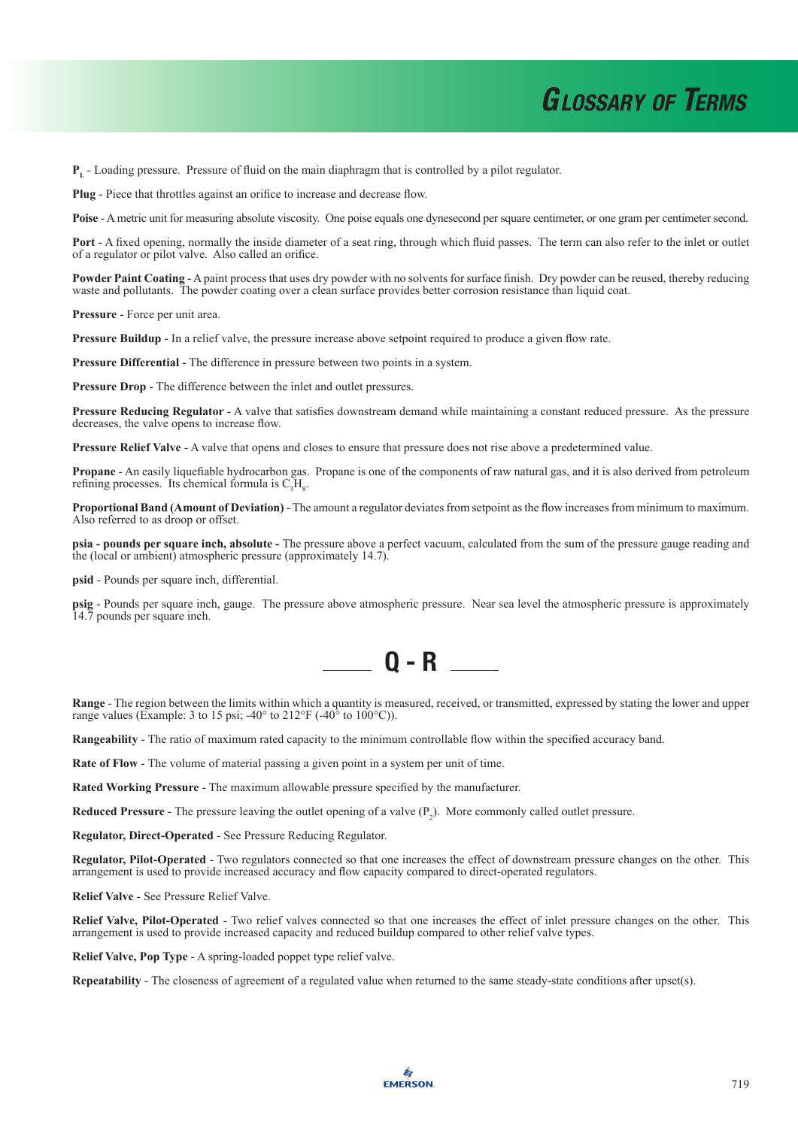**PL** - Loading pressure. Pressure of fluid on the main diaphragm that is controlled by a pilot regulator.

**Plug** - Piece that throttles against an orifice to increase and decrease flow.

**Poise** - A metric unit for measuring absolute viscosity. One poise equals one dynesecond per square centimeter, or one gram per centimeter second.

**Port** - A fixed opening, normally the inside diameter of a seat ring, through which fluid passes. The term can also refer to the inlet or outlet of a regulator or pilot valve. Also called an orifice.

**Powder Paint Coating** - A paint process that uses dry powder with no solvents for surface finish. Dry powder can be reused, thereby reducing waste and pollutants. The powder coating over a clean surface provides better corrosion resistance than liquid coat.

**Pressure** - Force per unit area.

**Pressure Buildup** - In a relief valve, the pressure increase above setpoint required to produce a given flow rate.

**Pressure Differential** - The difference in pressure between two points in a system.

**Pressure Drop** - The difference between the inlet and outlet pressures.

**Pressure Reducing Regulator** - A valve that satisfies downstream demand while maintaining a constant reduced pressure. As the pressure decreases, the valve opens to increase flow.

**Pressure Relief Valve** - A valve that opens and closes to ensure that pressure does not rise above a predetermined value.

**Propane** - An easily liquefiable hydrocarbon gas. Propane is one of the components of raw natural gas, and it is also derived from petroleum refining processes. Its chemical formula is  $C_3H_8$ .

**Proportional Band (Amount of Deviation)** - The amount a regulator deviates from setpoint as the flow increases from minimum to maximum. Also referred to as droop or offset.

**psia - pounds per square inch, absolute -** The pressure above a perfect vacuum, calculated from the sum of the pressure gauge reading and the (local or ambient) atmospheric pressure (approximately 14.7).

**psid** - Pounds per square inch, differential.

**psig** - Pounds per square inch, gauge. The pressure above atmospheric pressure. Near sea level the atmospheric pressure is approximately 14.7 pounds per square inch.



**Range** - The region between the limits within which a quantity is measured, received, or transmitted, expressed by stating the lower and upper range values (Example: 3 to 15 psi;  $-40^{\circ}$  to  $212^{\circ}$ F ( $-40^{\circ}$  to 100 $^{\circ}$ C)).

**Rangeability** - The ratio of maximum rated capacity to the minimum controllable flow within the specified accuracy band.

**Rate of Flow** - The volume of material passing a given point in a system per unit of time.

**Rated Working Pressure** - The maximum allowable pressure specified by the manufacturer.

**Reduced Pressure** - The pressure leaving the outlet opening of a valve  $(P_2)$ . More commonly called outlet pressure.

**Regulator, Direct-Operated** - See Pressure Reducing Regulator.

**Regulator, Pilot-Operated** - Two regulators connected so that one increases the effect of downstream pressure changes on the other. This arrangement is used to provide increased accuracy and flow capacity compared to direct-operated regulators.

**Relief Valve** - See Pressure Relief Valve.

**Relief Valve, Pilot-Operated** - Two relief valves connected so that one increases the effect of inlet pressure changes on the other. This arrangement is used to provide increased capacity and reduced buildup compared to other relief valve types.

**Relief Valve, Pop Type** - A spring-loaded poppet type relief valve.

**Repeatability** - The closeness of agreement of a regulated value when returned to the same steady-state conditions after upset(s).

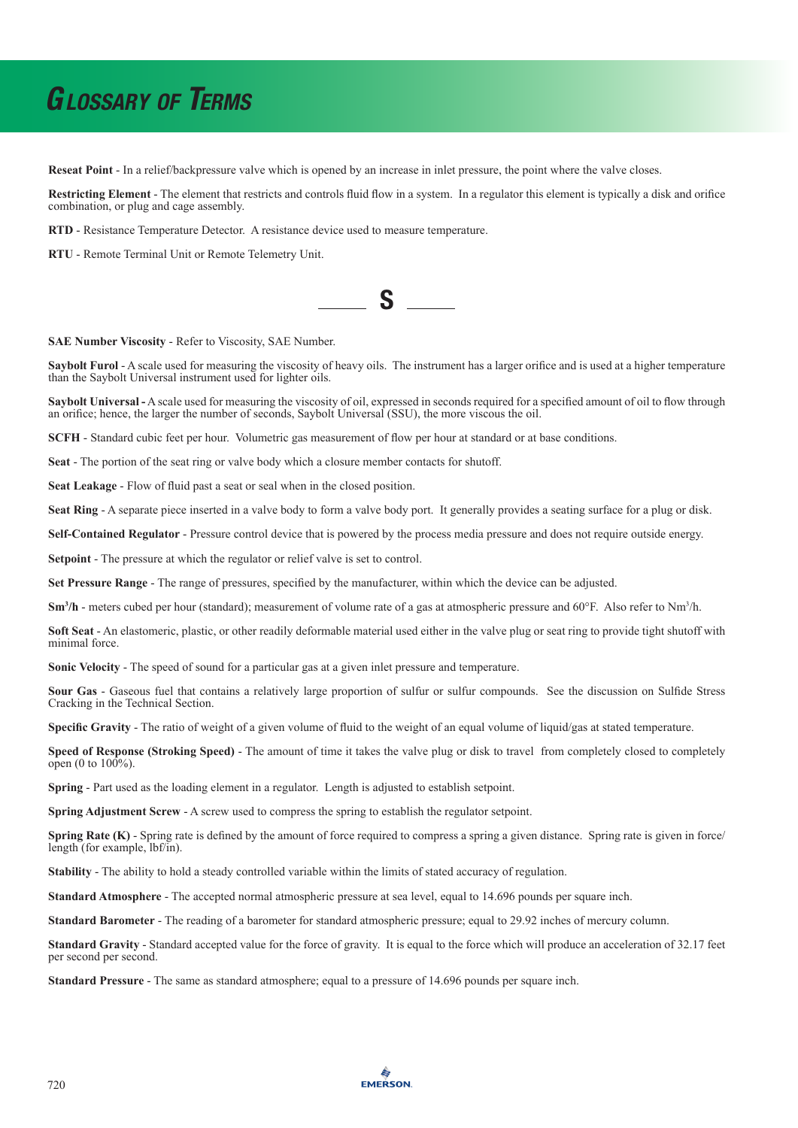**Reseat Point** - In a relief/backpressure valve which is opened by an increase in inlet pressure, the point where the valve closes.

**Restricting Element** - The element that restricts and controls fluid flow in a system. In a regulator this element is typically a disk and orifice combination, or plug and cage assembly.

**RTD** - Resistance Temperature Detector. A resistance device used to measure temperature.

**RTU** - Remote Terminal Unit or Remote Telemetry Unit.

**SAE Number Viscosity** - Refer to Viscosity, SAE Number.

**Saybolt Furol** - A scale used for measuring the viscosity of heavy oils. The instrument has a larger orifice and is used at a higher temperature than the Saybolt Universal instrument used for lighter oils.

**Saybolt Universal -** A scale used for measuring the viscosity of oil, expressed in seconds required for a specified amount of oil to flow through an orifice; hence, the larger the number of seconds, Saybolt Universal (SSU), the more viscous the oil.

**SCFH** - Standard cubic feet per hour. Volumetric gas measurement of flow per hour at standard or at base conditions.

**Seat** - The portion of the seat ring or valve body which a closure member contacts for shutoff.

**Seat Leakage** - Flow of fluid past a seat or seal when in the closed position.

Seat Ring - A separate piece inserted in a valve body to form a valve body port. It generally provides a seating surface for a plug or disk.

**Self-Contained Regulator** - Pressure control device that is powered by the process media pressure and does not require outside energy.

**Setpoint** - The pressure at which the regulator or relief valve is set to control.

**Set Pressure Range** - The range of pressures, specified by the manufacturer, within which the device can be adjusted.

**Sm<sup>3</sup>/h** - meters cubed per hour (standard); measurement of volume rate of a gas at atmospheric pressure and 60°F. Also refer to Nm<sup>3</sup>/h.

**Soft Seat** - An elastomeric, plastic, or other readily deformable material used either in the valve plug or seat ring to provide tight shutoff with minimal force.

**Sonic Velocity** - The speed of sound for a particular gas at a given inlet pressure and temperature.

**Sour Gas** - Gaseous fuel that contains a relatively large proportion of sulfur or sulfur compounds. See the discussion on Sulfide Stress Cracking in the Technical Section.

**Specific Gravity** - The ratio of weight of a given volume of fluid to the weight of an equal volume of liquid/gas at stated temperature.

**Speed of Response (Stroking Speed)** - The amount of time it takes the valve plug or disk to travel from completely closed to completely open (0 to  $100\%$ ).

**Spring** - Part used as the loading element in a regulator. Length is adjusted to establish setpoint.

**Spring Adjustment Screw** - A screw used to compress the spring to establish the regulator setpoint.

**Spring Rate (K)** - Spring rate is defined by the amount of force required to compress a spring a given distance. Spring rate is given in force/ length (for example, lbf/in).

**Stability** - The ability to hold a steady controlled variable within the limits of stated accuracy of regulation.

**Standard Atmosphere** - The accepted normal atmospheric pressure at sea level, equal to 14.696 pounds per square inch.

**Standard Barometer** - The reading of a barometer for standard atmospheric pressure; equal to 29.92 inches of mercury column.

**Standard Gravity** - Standard accepted value for the force of gravity. It is equal to the force which will produce an acceleration of 32.17 feet per second per second.

**Standard Pressure** - The same as standard atmosphere; equal to a pressure of 14.696 pounds per square inch.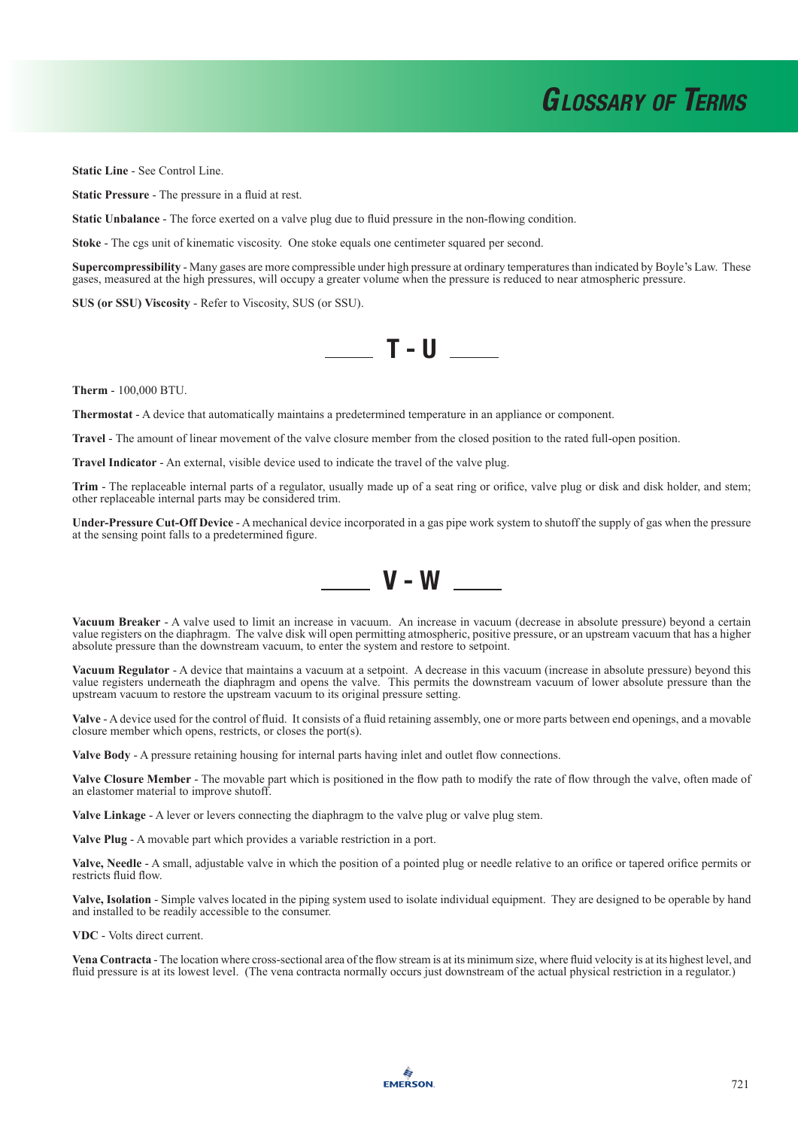**Static Line** - See Control Line.

**Static Pressure** - The pressure in a fluid at rest.

**Static Unbalance** - The force exerted on a valve plug due to fluid pressure in the non-flowing condition.

**Stoke** - The cgs unit of kinematic viscosity. One stoke equals one centimeter squared per second.

**Supercompressibility** - Many gases are more compressible under high pressure at ordinary temperatures than indicated by Boyle's Law. These gases, measured at the high pressures, will occupy a greater volume when the pressure is reduced to near atmospheric pressure.

 $\sqrt{1 - U}$ 

**SUS (or SSU) Viscosity** - Refer to Viscosity, SUS (or SSU).

**Therm** - 100,000 BTU.

**Thermostat** - A device that automatically maintains a predetermined temperature in an appliance or component.

**Travel** - The amount of linear movement of the valve closure member from the closed position to the rated full-open position.

**Travel Indicator** - An external, visible device used to indicate the travel of the valve plug.

**Trim** - The replaceable internal parts of a regulator, usually made up of a seat ring or orifice, valve plug or disk and disk holder, and stem; other replaceable internal parts may be considered trim.

**Under-Pressure Cut-Off Device** - A mechanical device incorporated in a gas pipe work system to shutoff the supply of gas when the pressure at the sensing point falls to a predetermined figure.



**Vacuum Breaker** - A valve used to limit an increase in vacuum. An increase in vacuum (decrease in absolute pressure) beyond a certain value registers on the diaphragm. The valve disk will open permitting atmospheric, positive pressure, or an upstream vacuum that has a higher absolute pressure than the downstream vacuum, to enter the system and restore to setpoint.

**Vacuum Regulator** - A device that maintains a vacuum at a setpoint. A decrease in this vacuum (increase in absolute pressure) beyond this value registers underneath the diaphragm and opens the valve. This permits the downstream vacuum of lower absolute pressure than the upstream vacuum to restore the upstream vacuum to its original pressure setting.

**Valve** - A device used for the control of fluid. It consists of a fluid retaining assembly, one or more parts between end openings, and a movable closure member which opens, restricts, or closes the port(s).

**Valve Body** - A pressure retaining housing for internal parts having inlet and outlet flow connections.

**Valve Closure Member** - The movable part which is positioned in the flow path to modify the rate of flow through the valve, often made of an elastomer material to improve shutoff.

**Valve Linkage** - A lever or levers connecting the diaphragm to the valve plug or valve plug stem.

**Valve Plug** - A movable part which provides a variable restriction in a port.

**Valve, Needle** - A small, adjustable valve in which the position of a pointed plug or needle relative to an orifice or tapered orifice permits or restricts fluid flow.

**Valve, Isolation** - Simple valves located in the piping system used to isolate individual equipment. They are designed to be operable by hand and installed to be readily accessible to the consumer.

**VDC** - Volts direct current.

**Vena Contracta** - The location where cross-sectional area of the flow stream is at its minimum size, where fluid velocity is at its highest level, and fluid pressure is at its lowest level. (The vena contracta normally occurs just downstream of the actual physical restriction in a regulator.)